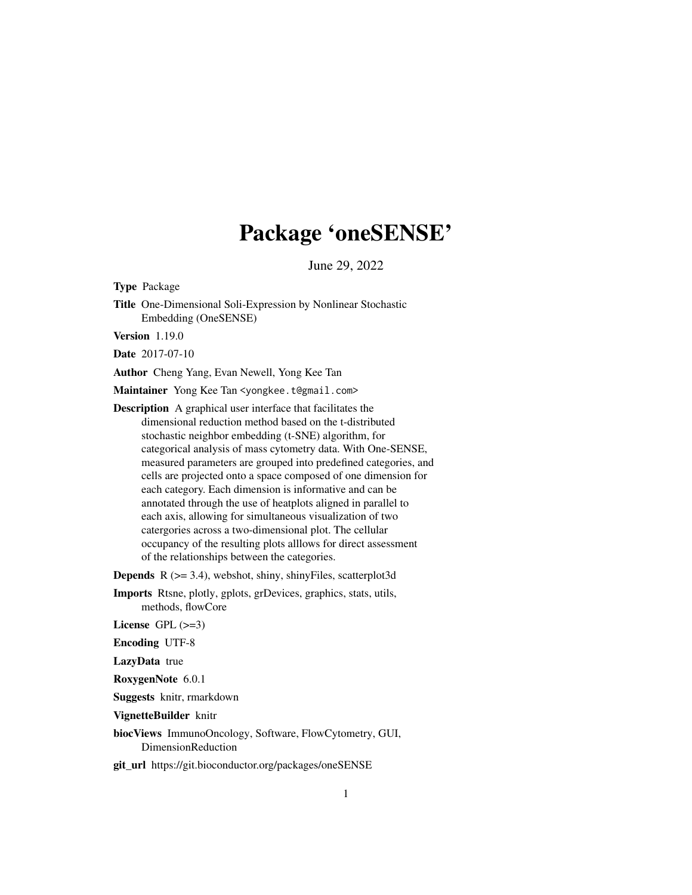## Package 'oneSENSE'

June 29, 2022

Type Package

Title One-Dimensional Soli-Expression by Nonlinear Stochastic Embedding (OneSENSE)

Version 1.19.0

Date 2017-07-10

Author Cheng Yang, Evan Newell, Yong Kee Tan

Maintainer Yong Kee Tan <yongkee.t@gmail.com>

Description A graphical user interface that facilitates the dimensional reduction method based on the t-distributed stochastic neighbor embedding (t-SNE) algorithm, for categorical analysis of mass cytometry data. With One-SENSE, measured parameters are grouped into predefined categories, and cells are projected onto a space composed of one dimension for each category. Each dimension is informative and can be annotated through the use of heatplots aligned in parallel to each axis, allowing for simultaneous visualization of two catergories across a two-dimensional plot. The cellular occupancy of the resulting plots alllows for direct assessment of the relationships between the categories.

**Depends** R  $(>= 3.4)$ , webshot, shiny, shinyFiles, scatterplot3d

Imports Rtsne, plotly, gplots, grDevices, graphics, stats, utils, methods, flowCore

License  $GPL$  ( $>=3$ )

Encoding UTF-8

LazyData true

RoxygenNote 6.0.1

Suggests knitr, rmarkdown

VignetteBuilder knitr

biocViews ImmunoOncology, Software, FlowCytometry, GUI, DimensionReduction

git\_url https://git.bioconductor.org/packages/oneSENSE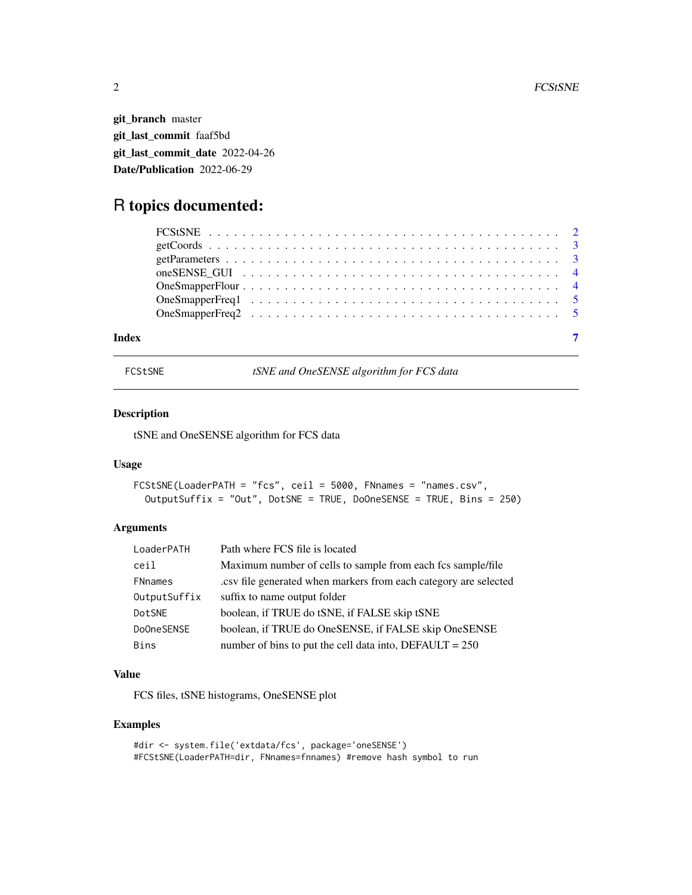<span id="page-1-0"></span>git\_branch master git\_last\_commit faaf5bd git\_last\_commit\_date 2022-04-26 Date/Publication 2022-06-29

### R topics documented:

| Index | $\overline{7}$ |  |
|-------|----------------|--|

FCStSNE *tSNE and OneSENSE algorithm for FCS data*

#### Description

tSNE and OneSENSE algorithm for FCS data

#### Usage

```
FCStSNE(LoaderPATH = "fcs", ceil = 5000, FNnames = "names.csv",
  OutputSuffix = "Out", DotSNE = TRUE, DoOneSENSE = TRUE, Bins = 250)
```
#### Arguments

| LoaderPATH     | Path where FCS file is located                                    |
|----------------|-------------------------------------------------------------------|
| ceil           | Maximum number of cells to sample from each fcs sample/file       |
| <b>FNnames</b> | .csv file generated when markers from each category are selected. |
| OutputSuffix   | suffix to name output folder                                      |
| DotSNE         | boolean, if TRUE do tSNE, if FALSE skip tSNE                      |
| DoOneSENSE     | boolean, if TRUE do OneSENSE, if FALSE skip OneSENSE              |
| <b>Bins</b>    | number of bins to put the cell data into, $DEFAULT = 250$         |

#### Value

FCS files, tSNE histograms, OneSENSE plot

#### Examples

```
#dir <- system.file('extdata/fcs', package='oneSENSE')
#FCStSNE(LoaderPATH=dir, FNnames=fnnames) #remove hash symbol to run
```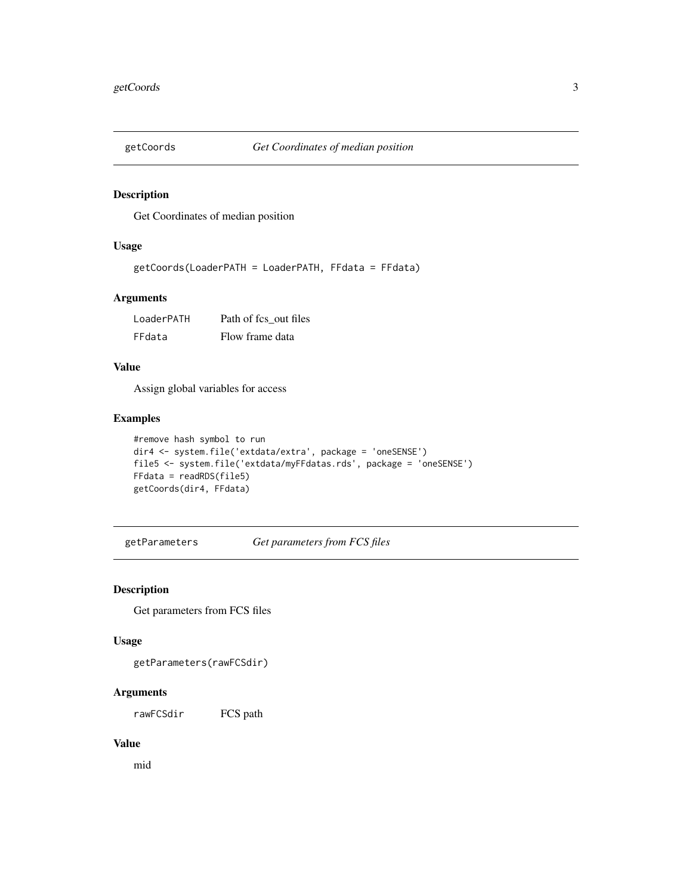<span id="page-2-0"></span>

#### Description

Get Coordinates of median position

#### Usage

```
getCoords(LoaderPATH = LoaderPATH, FFdata = FFdata)
```
#### Arguments

| LoaderPATH | Path of fcs out files |
|------------|-----------------------|
| FFdata     | Flow frame data       |

#### Value

Assign global variables for access

#### Examples

```
#remove hash symbol to run
dir4 <- system.file('extdata/extra', package = 'oneSENSE')
file5 <- system.file('extdata/myFFdatas.rds', package = 'oneSENSE')
FFdata = readRDS(file5)
getCoords(dir4, FFdata)
```
getParameters *Get parameters from FCS files*

#### Description

Get parameters from FCS files

#### Usage

getParameters(rawFCSdir)

#### Arguments

rawFCSdir FCS path

#### Value

mid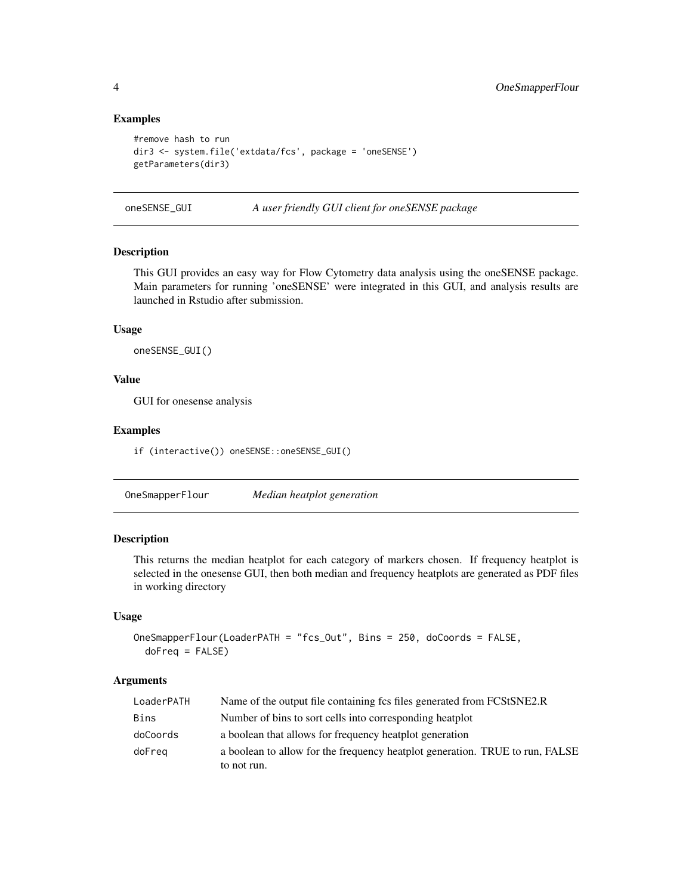#### Examples

```
#remove hash to run
dir3 <- system.file('extdata/fcs', package = 'oneSENSE')
getParameters(dir3)
```
oneSENSE\_GUI *A user friendly GUI client for oneSENSE package*

#### Description

This GUI provides an easy way for Flow Cytometry data analysis using the oneSENSE package. Main parameters for running 'oneSENSE' were integrated in this GUI, and analysis results are launched in Rstudio after submission.

#### Usage

oneSENSE\_GUI()

#### Value

GUI for onesense analysis

#### Examples

if (interactive()) oneSENSE::oneSENSE\_GUI()

OneSmapperFlour *Median heatplot generation*

#### Description

This returns the median heatplot for each category of markers chosen. If frequency heatplot is selected in the onesense GUI, then both median and frequency heatplots are generated as PDF files in working directory

#### Usage

```
OneSmapperFlour(LoaderPATH = "fcs_Out", Bins = 250, doCoords = FALSE,
 doFreq = FALSE)
```
#### Arguments

| LoaderPATH | Name of the output file containing fcs files generated from FCStSNE2.R       |
|------------|------------------------------------------------------------------------------|
| Bins       | Number of bins to sort cells into corresponding heatplot                     |
| doCoords   | a boolean that allows for frequency heatplot generation                      |
| doFreg     | a boolean to allow for the frequency heatplot generation. TRUE to run, FALSE |
|            | to not run.                                                                  |

<span id="page-3-0"></span>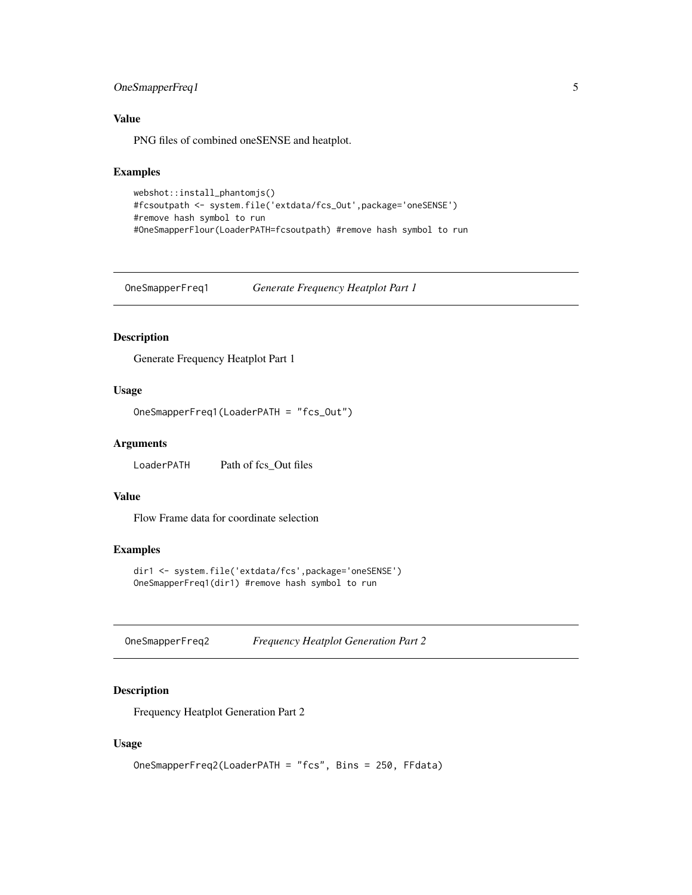#### <span id="page-4-0"></span>OneSmapperFreq1 5

#### Value

PNG files of combined oneSENSE and heatplot.

#### Examples

```
webshot::install_phantomjs()
#fcsoutpath <- system.file('extdata/fcs_Out',package='oneSENSE')
#remove hash symbol to run
#OneSmapperFlour(LoaderPATH=fcsoutpath) #remove hash symbol to run
```
OneSmapperFreq1 *Generate Frequency Heatplot Part 1*

#### Description

Generate Frequency Heatplot Part 1

#### Usage

```
OneSmapperFreq1(LoaderPATH = "fcs_Out")
```
#### Arguments

LoaderPATH Path of fcs\_Out files

#### Value

Flow Frame data for coordinate selection

#### Examples

```
dir1 <- system.file('extdata/fcs',package='oneSENSE')
OneSmapperFreq1(dir1) #remove hash symbol to run
```
OneSmapperFreq2 *Frequency Heatplot Generation Part 2*

#### Description

Frequency Heatplot Generation Part 2

#### Usage

```
OneSmapperFreq2(LoaderPATH = "fcs", Bins = 250, FFdata)
```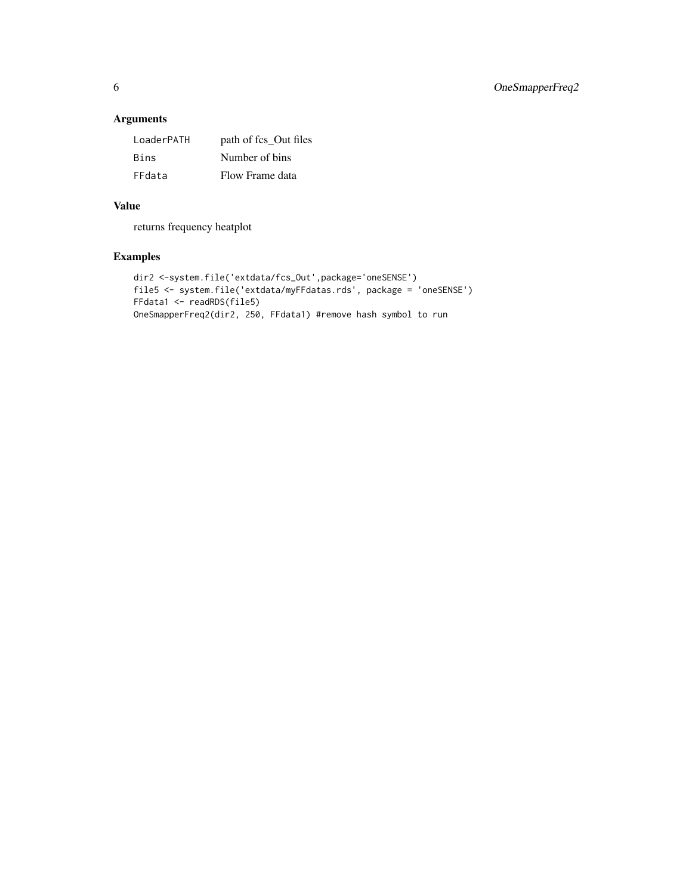#### Arguments

| LoaderPATH  | path of fcs_Out files |
|-------------|-----------------------|
| <b>Bins</b> | Number of bins        |
| FFdata      | Flow Frame data       |

#### Value

returns frequency heatplot

#### Examples

```
dir2 <-system.file('extdata/fcs_Out',package='oneSENSE')
file5 <- system.file('extdata/myFFdatas.rds', package = 'oneSENSE')
FFdata1 <- readRDS(file5)
OneSmapperFreq2(dir2, 250, FFdata1) #remove hash symbol to run
```